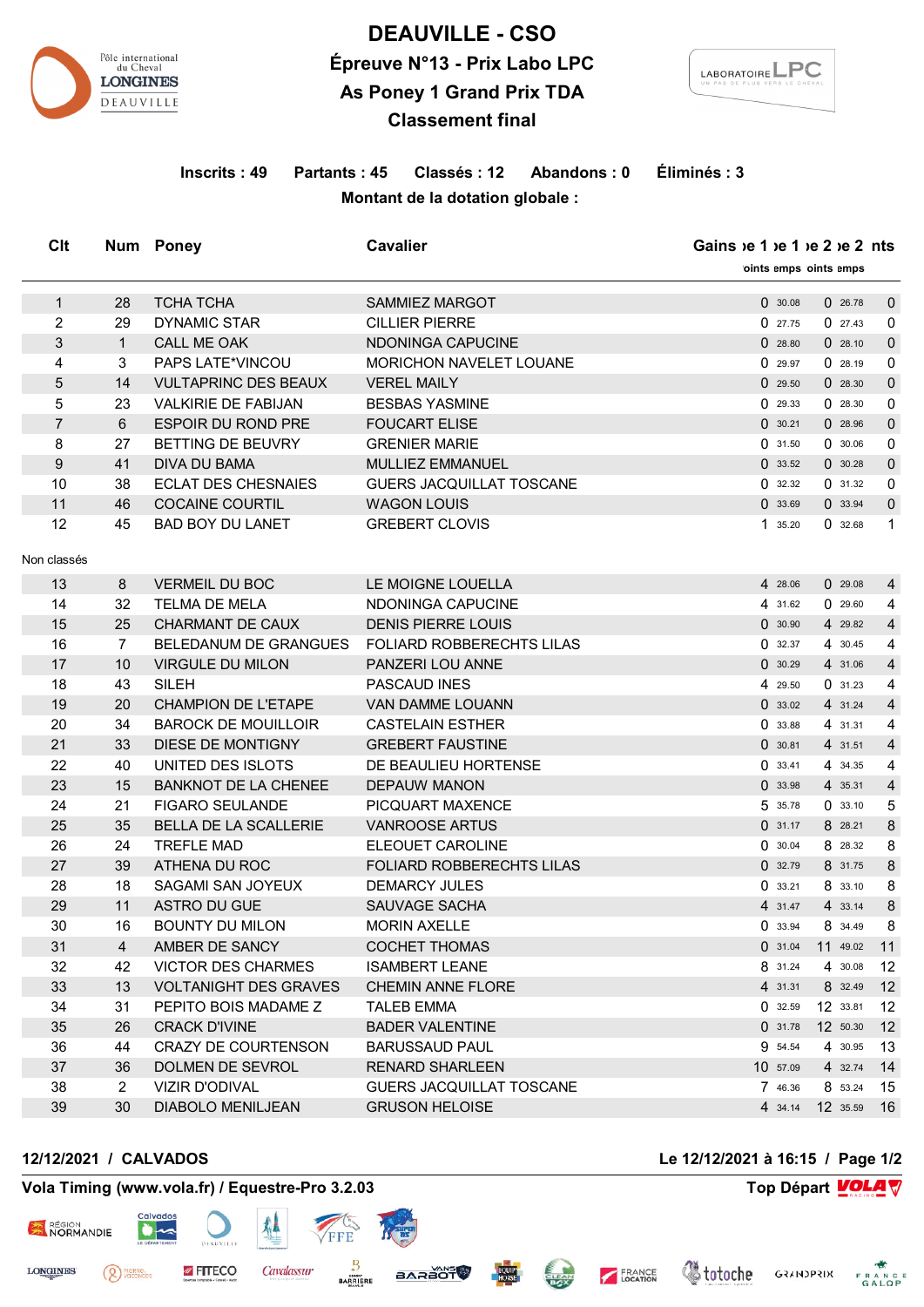

# **DEAUVILLE - CSO Épreuve N°13 - Prix Labo LPC As Poney 1 Grand Prix TDA Classement final**



## **Inscrits : 49 Partants : 45 Classés : 12 Abandons : 0 Éliminés : 3 Montant de la dotation globale :**

| Clt            |                | Num Poney                    | <b>Cavalier</b>                  |          | Gains $ie 1 ie 1 ie 2 ie 2 ints$<br>oints emps oints emps |                |  |
|----------------|----------------|------------------------------|----------------------------------|----------|-----------------------------------------------------------|----------------|--|
|                |                |                              |                                  |          |                                                           |                |  |
| $\mathbf{1}$   | 28             | <b>TCHA TCHA</b>             | <b>SAMMIEZ MARGOT</b>            | 0.30.08  | 026.78                                                    | $\mathbf 0$    |  |
| 2              | 29             | <b>DYNAMIC STAR</b>          | <b>CILLIER PIERRE</b>            | 027.75   | 027.43                                                    | $\mathbf 0$    |  |
| 3              | $\mathbf{1}$   | CALL ME OAK                  | NDONINGA CAPUCINE                | 028.80   | 028.10                                                    | $\mathbf 0$    |  |
| 4              | 3              | PAPS LATE*VINCOU             | MORICHON NAVELET LOUANE          | 0.29.97  | 0.28.19                                                   | 0              |  |
| 5              | 14             | <b>VULTAPRINC DES BEAUX</b>  | <b>VEREL MAILY</b>               | 029.50   | 028.30                                                    | $\mathbf{0}$   |  |
| 5              | 23             | <b>VALKIRIE DE FABIJAN</b>   | <b>BESBAS YASMINE</b>            | 029.33   | 028.30                                                    | $\mathbf 0$    |  |
| $\overline{7}$ | 6              | <b>ESPOIR DU ROND PRE</b>    | <b>FOUCART ELISE</b>             | 0.30.21  | 028.96                                                    | $\mathbf 0$    |  |
| 8              | 27             | BETTING DE BEUVRY            | <b>GRENIER MARIE</b>             | 0.31.50  | 0.30.06                                                   | 0              |  |
| 9              | 41             | DIVA DU BAMA                 | MULLIEZ EMMANUEL                 | 033.52   | 0.30.28                                                   | $\mathbf 0$    |  |
| 10             | 38             | <b>ECLAT DES CHESNAIES</b>   | GUERS JACQUILLAT TOSCANE         | 032.32   | 031.32                                                    | 0              |  |
| 11             | 46             | <b>COCAINE COURTIL</b>       | <b>WAGON LOUIS</b>               | 033.69   | 0.33.94                                                   | $\mathbf 0$    |  |
| 12             | 45             | <b>BAD BOY DU LANET</b>      | <b>GREBERT CLOVIS</b>            | 1 35.20  | 032.68                                                    | $\mathbf 1$    |  |
| Non classés    |                |                              |                                  |          |                                                           |                |  |
| 13             | 8              | <b>VERMEIL DU BOC</b>        | LE MOIGNE LOUELLA                | 4 28.06  | 029.08                                                    | $\overline{4}$ |  |
| 14             | 32             | <b>TELMA DE MELA</b>         | NDONINGA CAPUCINE                | 4 31.62  | 029.60                                                    | 4              |  |
| 15             | 25             | <b>CHARMANT DE CAUX</b>      | <b>DENIS PIERRE LOUIS</b>        | 0.30.90  | 4 29.82                                                   | $\overline{4}$ |  |
| 16             | $\overline{7}$ | BELEDANUM DE GRANGUES        | FOLIARD ROBBERECHTS LILAS        | 032.37   | 4 30.45                                                   | 4              |  |
| 17             | 10             | <b>VIRGULE DU MILON</b>      | PANZERI LOU ANNE                 | 0.30.29  | 4 31.06                                                   | $\overline{4}$ |  |
| 18             | 43             | <b>SILEH</b>                 | PASCAUD INES                     | 4 29.50  | 031.23                                                    | 4              |  |
| 19             | 20             | <b>CHAMPION DE L'ETAPE</b>   | <b>VAN DAMME LOUANN</b>          | 0.33.02  | 4 31.24                                                   | $\overline{4}$ |  |
| 20             | 34             | <b>BAROCK DE MOUILLOIR</b>   | <b>CASTELAIN ESTHER</b>          | 033.88   | 4 31.31                                                   | 4              |  |
| 21             | 33             | DIESE DE MONTIGNY            | <b>GREBERT FAUSTINE</b>          | 0.30.81  | 4 31.51                                                   | $\overline{4}$ |  |
| 22             | 40             | UNITED DES ISLOTS            | DE BEAULIEU HORTENSE             | 0.33.41  | 4 34.35                                                   | 4              |  |
| 23             | 15             | <b>BANKNOT DE LA CHENEE</b>  | <b>DEPAUW MANON</b>              | 033.98   | 4 35.31                                                   | $\overline{4}$ |  |
| 24             | 21             | <b>FIGARO SEULANDE</b>       | PICQUART MAXENCE                 | 5 35.78  | 0.33.10                                                   | 5              |  |
| 25             | 35             | <b>BELLA DE LA SCALLERIE</b> | <b>VANROOSE ARTUS</b>            | 0.31.17  | 8 28.21                                                   | 8              |  |
| 26             | 24             | <b>TREFLE MAD</b>            | ELEOUET CAROLINE                 | 0.30.04  | 8 28.32                                                   | 8              |  |
| 27             | 39             | ATHENA DU ROC                | <b>FOLIARD ROBBERECHTS LILAS</b> | 0.32.79  | 8 31.75                                                   | 8              |  |
| 28             | 18             | SAGAMI SAN JOYEUX            | <b>DEMARCY JULES</b>             | 0.33.21  | 8 33.10                                                   | 8              |  |
| 29             | 11             | ASTRO DU GUE                 | SAUVAGE SACHA                    | 4 31.47  | 4 33.14                                                   | 8              |  |
| 30             | 16             | <b>BOUNTY DU MILON</b>       | <b>MORIN AXELLE</b>              | 0.33.94  | 8 34.49                                                   | 8              |  |
| 31             | $\overline{4}$ | AMBER DE SANCY               | <b>COCHET THOMAS</b>             | 031.04   | 11 49.02                                                  | 11             |  |
| 32             | 42             | <b>VICTOR DES CHARMES</b>    | <b>ISAMBERT LEANE</b>            | 8 31.24  | 4 30.08                                                   | 12             |  |
| 33             | 13             | <b>VOLTANIGHT DES GRAVES</b> | <b>CHEMIN ANNE FLORE</b>         | 4 31.31  | 8 32.49                                                   | 12             |  |
| 34             | 31             | PEPITO BOIS MADAME Z         | <b>TALEB EMMA</b>                | 0.32.59  | 12 33.81                                                  | 12             |  |
| 35             | 26             | <b>CRACK D'IVINE</b>         | <b>BADER VALENTINE</b>           | 0.31.78  | 12 50.30                                                  | 12             |  |
| 36             | 44             | CRAZY DE COURTENSON          | <b>BARUSSAUD PAUL</b>            | 9 54.54  | 4 30.95                                                   | 13             |  |
| 37             | 36             | DOLMEN DE SEVROL             | <b>RENARD SHARLEEN</b>           | 10 57.09 | 4 32.74                                                   | 14             |  |
| 38             | $\overline{2}$ | <b>VIZIR D'ODIVAL</b>        | GUERS JACQUILLAT TOSCANE         | 7 46.36  | 8 53.24                                                   | 15             |  |
| 39             | 30             | <b>DIABOLO MENILJEAN</b>     | <b>GRUSON HELOISE</b>            | 4 34.14  | 12 35.59                                                  | 16             |  |

#### **12/12/2021 / CALVADOS Le 12/12/2021 à 16:15 / Page 1/2**

 $\bullet$ 

<sup>PIERRE</sup>

RÉGION<br>NORMANDIE

**LONGINES** 

### **Vola Timing (www.vola.fr) / Equestre-Pro 3.2.03 Top Départ VOLA**

**FITECO** 

隼

Cavalassur

FFF

B

**BARRIERE** 

**STÖSSAS** 



**CLEAN** 

**EQUIP** 

FRANCE

**Voloche** GRANDPRIX FRANCE